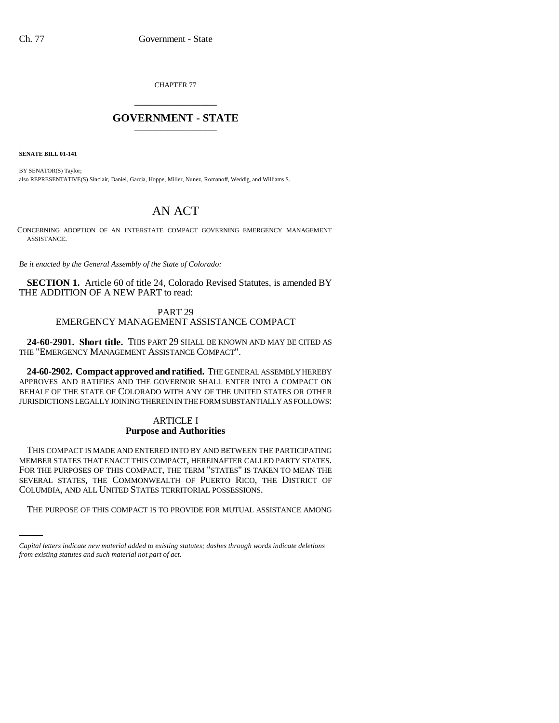CHAPTER 77 \_\_\_\_\_\_\_\_\_\_\_\_\_\_\_

# **GOVERNMENT - STATE** \_\_\_\_\_\_\_\_\_\_\_\_\_\_\_

**SENATE BILL 01-141**

BY SENATOR(S) Taylor; also REPRESENTATIVE(S) Sinclair, Daniel, Garcia, Hoppe, Miller, Nunez, Romanoff, Weddig, and Williams S.

# AN ACT

CONCERNING ADOPTION OF AN INTERSTATE COMPACT GOVERNING EMERGENCY MANAGEMENT ASSISTANCE.

*Be it enacted by the General Assembly of the State of Colorado:*

**SECTION 1.** Article 60 of title 24, Colorado Revised Statutes, is amended BY THE ADDITION OF A NEW PART to read:

PART 29

# EMERGENCY MANAGEMENT ASSISTANCE COMPACT

**24-60-2901. Short title.** THIS PART 29 SHALL BE KNOWN AND MAY BE CITED AS THE "EMERGENCY MANAGEMENT ASSISTANCE COMPACT".

**24-60-2902. Compact approved and ratified.** THE GENERAL ASSEMBLY HEREBY APPROVES AND RATIFIES AND THE GOVERNOR SHALL ENTER INTO A COMPACT ON BEHALF OF THE STATE OF COLORADO WITH ANY OF THE UNITED STATES OR OTHER JURISDICTIONS LEGALLY JOINING THEREIN IN THE FORM SUBSTANTIALLY AS FOLLOWS:

#### ARTICLE I **Purpose and Authorities**

COLUMBIA, AND ALL UNITED STATES TERRITORIAL POSSESSIONS. THIS COMPACT IS MADE AND ENTERED INTO BY AND BETWEEN THE PARTICIPATING MEMBER STATES THAT ENACT THIS COMPACT, HEREINAFTER CALLED PARTY STATES. FOR THE PURPOSES OF THIS COMPACT, THE TERM "STATES" IS TAKEN TO MEAN THE SEVERAL STATES, THE COMMONWEALTH OF PUERTO RICO, THE DISTRICT OF

THE PURPOSE OF THIS COMPACT IS TO PROVIDE FOR MUTUAL ASSISTANCE AMONG

*Capital letters indicate new material added to existing statutes; dashes through words indicate deletions from existing statutes and such material not part of act.*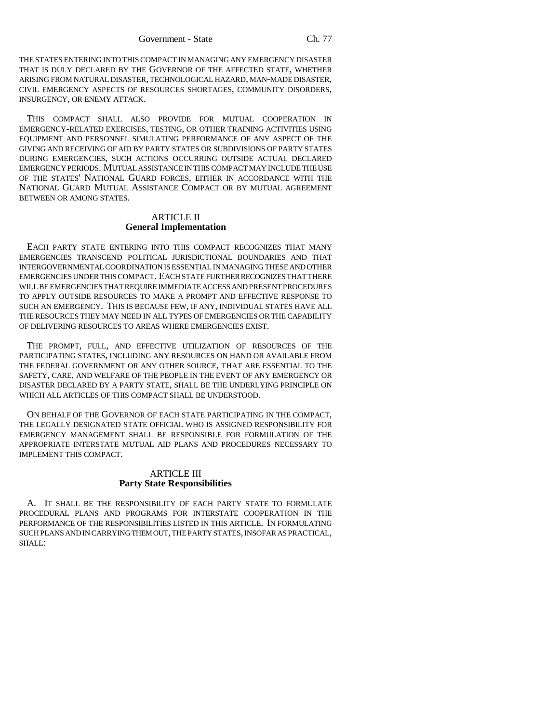THE STATES ENTERING INTO THIS COMPACT IN MANAGING ANY EMERGENCY DISASTER THAT IS DULY DECLARED BY THE GOVERNOR OF THE AFFECTED STATE, WHETHER ARISING FROM NATURAL DISASTER, TECHNOLOGICAL HAZARD, MAN-MADE DISASTER, CIVIL EMERGENCY ASPECTS OF RESOURCES SHORTAGES, COMMUNITY DISORDERS, INSURGENCY, OR ENEMY ATTACK.

THIS COMPACT SHALL ALSO PROVIDE FOR MUTUAL COOPERATION IN EMERGENCY-RELATED EXERCISES, TESTING, OR OTHER TRAINING ACTIVITIES USING EQUIPMENT AND PERSONNEL SIMULATING PERFORMANCE OF ANY ASPECT OF THE GIVING AND RECEIVING OF AID BY PARTY STATES OR SUBDIVISIONS OF PARTY STATES DURING EMERGENCIES, SUCH ACTIONS OCCURRING OUTSIDE ACTUAL DECLARED EMERGENCY PERIODS. MUTUAL ASSISTANCE IN THIS COMPACT MAY INCLUDE THE USE OF THE STATES' NATIONAL GUARD FORCES, EITHER IN ACCORDANCE WITH THE NATIONAL GUARD MUTUAL ASSISTANCE COMPACT OR BY MUTUAL AGREEMENT BETWEEN OR AMONG STATES.

#### ARTICLE II **General Implementation**

EACH PARTY STATE ENTERING INTO THIS COMPACT RECOGNIZES THAT MANY EMERGENCIES TRANSCEND POLITICAL JURISDICTIONAL BOUNDARIES AND THAT INTERGOVERNMENTAL COORDINATION IS ESSENTIAL IN MANAGING THESE AND OTHER EMERGENCIES UNDER THIS COMPACT. EACH STATE FURTHER RECOGNIZES THAT THERE WILL BE EMERGENCIES THAT REQUIRE IMMEDIATE ACCESS AND PRESENT PROCEDURES TO APPLY OUTSIDE RESOURCES TO MAKE A PROMPT AND EFFECTIVE RESPONSE TO SUCH AN EMERGENCY. THIS IS BECAUSE FEW, IF ANY, INDIVIDUAL STATES HAVE ALL THE RESOURCES THEY MAY NEED IN ALL TYPES OF EMERGENCIES OR THE CAPABILITY OF DELIVERING RESOURCES TO AREAS WHERE EMERGENCIES EXIST.

THE PROMPT, FULL, AND EFFECTIVE UTILIZATION OF RESOURCES OF THE PARTICIPATING STATES, INCLUDING ANY RESOURCES ON HAND OR AVAILABLE FROM THE FEDERAL GOVERNMENT OR ANY OTHER SOURCE, THAT ARE ESSENTIAL TO THE SAFETY, CARE, AND WELFARE OF THE PEOPLE IN THE EVENT OF ANY EMERGENCY OR DISASTER DECLARED BY A PARTY STATE, SHALL BE THE UNDERLYING PRINCIPLE ON WHICH ALL ARTICLES OF THIS COMPACT SHALL BE UNDERSTOOD.

ON BEHALF OF THE GOVERNOR OF EACH STATE PARTICIPATING IN THE COMPACT, THE LEGALLY DESIGNATED STATE OFFICIAL WHO IS ASSIGNED RESPONSIBILITY FOR EMERGENCY MANAGEMENT SHALL BE RESPONSIBLE FOR FORMULATION OF THE APPROPRIATE INTERSTATE MUTUAL AID PLANS AND PROCEDURES NECESSARY TO IMPLEMENT THIS COMPACT.

# ARTICLE III **Party State Responsibilities**

A. IT SHALL BE THE RESPONSIBILITY OF EACH PARTY STATE TO FORMULATE PROCEDURAL PLANS AND PROGRAMS FOR INTERSTATE COOPERATION IN THE PERFORMANCE OF THE RESPONSIBILITIES LISTED IN THIS ARTICLE. IN FORMULATING SUCH PLANS AND IN CARRYING THEM OUT, THE PARTY STATES, INSOFAR AS PRACTICAL, SHALL: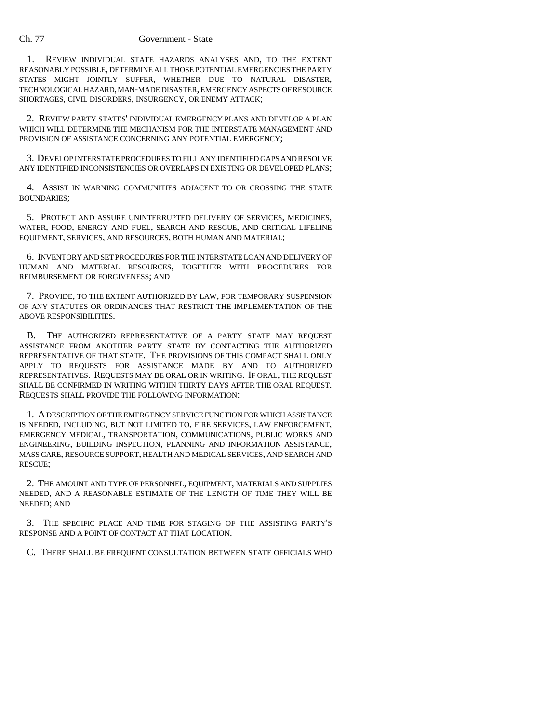1. REVIEW INDIVIDUAL STATE HAZARDS ANALYSES AND, TO THE EXTENT REASONABLY POSSIBLE, DETERMINE ALL THOSE POTENTIAL EMERGENCIES THE PARTY STATES MIGHT JOINTLY SUFFER, WHETHER DUE TO NATURAL DISASTER, TECHNOLOGICAL HAZARD, MAN-MADE DISASTER, EMERGENCY ASPECTS OF RESOURCE SHORTAGES, CIVIL DISORDERS, INSURGENCY, OR ENEMY ATTACK;

2. REVIEW PARTY STATES' INDIVIDUAL EMERGENCY PLANS AND DEVELOP A PLAN WHICH WILL DETERMINE THE MECHANISM FOR THE INTERSTATE MANAGEMENT AND PROVISION OF ASSISTANCE CONCERNING ANY POTENTIAL EMERGENCY;

3. DEVELOP INTERSTATE PROCEDURES TO FILL ANY IDENTIFIED GAPS AND RESOLVE ANY IDENTIFIED INCONSISTENCIES OR OVERLAPS IN EXISTING OR DEVELOPED PLANS;

4. ASSIST IN WARNING COMMUNITIES ADJACENT TO OR CROSSING THE STATE BOUNDARIES;

5. PROTECT AND ASSURE UNINTERRUPTED DELIVERY OF SERVICES, MEDICINES, WATER, FOOD, ENERGY AND FUEL, SEARCH AND RESCUE, AND CRITICAL LIFELINE EQUIPMENT, SERVICES, AND RESOURCES, BOTH HUMAN AND MATERIAL;

6. INVENTORY AND SET PROCEDURES FOR THE INTERSTATE LOAN AND DELIVERY OF HUMAN AND MATERIAL RESOURCES, TOGETHER WITH PROCEDURES FOR REIMBURSEMENT OR FORGIVENESS; AND

7. PROVIDE, TO THE EXTENT AUTHORIZED BY LAW, FOR TEMPORARY SUSPENSION OF ANY STATUTES OR ORDINANCES THAT RESTRICT THE IMPLEMENTATION OF THE ABOVE RESPONSIBILITIES.

B. THE AUTHORIZED REPRESENTATIVE OF A PARTY STATE MAY REQUEST ASSISTANCE FROM ANOTHER PARTY STATE BY CONTACTING THE AUTHORIZED REPRESENTATIVE OF THAT STATE. THE PROVISIONS OF THIS COMPACT SHALL ONLY APPLY TO REQUESTS FOR ASSISTANCE MADE BY AND TO AUTHORIZED REPRESENTATIVES. REQUESTS MAY BE ORAL OR IN WRITING. IF ORAL, THE REQUEST SHALL BE CONFIRMED IN WRITING WITHIN THIRTY DAYS AFTER THE ORAL REQUEST. REQUESTS SHALL PROVIDE THE FOLLOWING INFORMATION:

1. A DESCRIPTION OF THE EMERGENCY SERVICE FUNCTION FOR WHICH ASSISTANCE IS NEEDED, INCLUDING, BUT NOT LIMITED TO, FIRE SERVICES, LAW ENFORCEMENT, EMERGENCY MEDICAL, TRANSPORTATION, COMMUNICATIONS, PUBLIC WORKS AND ENGINEERING, BUILDING INSPECTION, PLANNING AND INFORMATION ASSISTANCE, MASS CARE, RESOURCE SUPPORT, HEALTH AND MEDICAL SERVICES, AND SEARCH AND RESCUE;

2. THE AMOUNT AND TYPE OF PERSONNEL, EQUIPMENT, MATERIALS AND SUPPLIES NEEDED, AND A REASONABLE ESTIMATE OF THE LENGTH OF TIME THEY WILL BE NEEDED; AND

3. THE SPECIFIC PLACE AND TIME FOR STAGING OF THE ASSISTING PARTY'S RESPONSE AND A POINT OF CONTACT AT THAT LOCATION.

C. THERE SHALL BE FREQUENT CONSULTATION BETWEEN STATE OFFICIALS WHO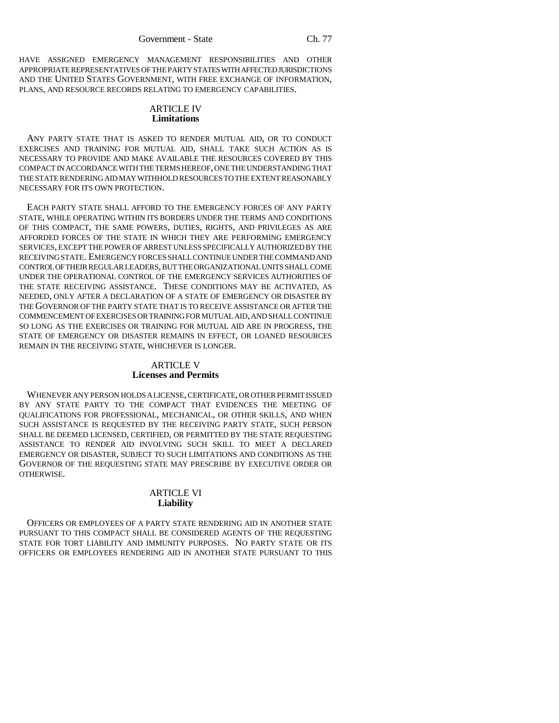HAVE ASSIGNED EMERGENCY MANAGEMENT RESPONSIBILITIES AND OTHER APPROPRIATE REPRESENTATIVES OF THE PARTY STATES WITH AFFECTED JURISDICTIONS AND THE UNITED STATES GOVERNMENT, WITH FREE EXCHANGE OF INFORMATION, PLANS, AND RESOURCE RECORDS RELATING TO EMERGENCY CAPABILITIES.

#### ARTICLE IV **Limitations**

ANY PARTY STATE THAT IS ASKED TO RENDER MUTUAL AID, OR TO CONDUCT EXERCISES AND TRAINING FOR MUTUAL AID, SHALL TAKE SUCH ACTION AS IS NECESSARY TO PROVIDE AND MAKE AVAILABLE THE RESOURCES COVERED BY THIS COMPACT IN ACCORDANCE WITH THE TERMS HEREOF, ONE THE UNDERSTANDING THAT THE STATE RENDERING AID MAY WITHHOLD RESOURCES TO THE EXTENT REASONABLY NECESSARY FOR ITS OWN PROTECTION.

EACH PARTY STATE SHALL AFFORD TO THE EMERGENCY FORCES OF ANY PARTY STATE, WHILE OPERATING WITHIN ITS BORDERS UNDER THE TERMS AND CONDITIONS OF THIS COMPACT, THE SAME POWERS, DUTIES, RIGHTS, AND PRIVILEGES AS ARE AFFORDED FORCES OF THE STATE IN WHICH THEY ARE PERFORMING EMERGENCY SERVICES, EXCEPT THE POWER OF ARREST UNLESS SPECIFICALLY AUTHORIZED BY THE RECEIVING STATE. EMERGENCY FORCES SHALL CONTINUE UNDER THE COMMAND AND CONTROL OF THEIR REGULAR LEADERS, BUT THE ORGANIZATIONAL UNITS SHALL COME UNDER THE OPERATIONAL CONTROL OF THE EMERGENCY SERVICES AUTHORITIES OF THE STATE RECEIVING ASSISTANCE. THESE CONDITIONS MAY BE ACTIVATED, AS NEEDED, ONLY AFTER A DECLARATION OF A STATE OF EMERGENCY OR DISASTER BY THE GOVERNOR OF THE PARTY STATE THAT IS TO RECEIVE ASSISTANCE OR AFTER THE COMMENCEMENT OF EXERCISES OR TRAINING FOR MUTUAL AID, AND SHALL CONTINUE SO LONG AS THE EXERCISES OR TRAINING FOR MUTUAL AID ARE IN PROGRESS, THE STATE OF EMERGENCY OR DISASTER REMAINS IN EFFECT, OR LOANED RESOURCES REMAIN IN THE RECEIVING STATE, WHICHEVER IS LONGER.

# ARTICLE V **Licenses and Permits**

WHENEVER ANY PERSON HOLDS A LICENSE, CERTIFICATE, OR OTHER PERMIT ISSUED BY ANY STATE PARTY TO THE COMPACT THAT EVIDENCES THE MEETING OF QUALIFICATIONS FOR PROFESSIONAL, MECHANICAL, OR OTHER SKILLS, AND WHEN SUCH ASSISTANCE IS REQUESTED BY THE RECEIVING PARTY STATE, SUCH PERSON SHALL BE DEEMED LICENSED, CERTIFIED, OR PERMITTED BY THE STATE REQUESTING ASSISTANCE TO RENDER AID INVOLVING SUCH SKILL TO MEET A DECLARED EMERGENCY OR DISASTER, SUBJECT TO SUCH LIMITATIONS AND CONDITIONS AS THE GOVERNOR OF THE REQUESTING STATE MAY PRESCRIBE BY EXECUTIVE ORDER OR OTHERWISE.

## ARTICLE VI **Liability**

OFFICERS OR EMPLOYEES OF A PARTY STATE RENDERING AID IN ANOTHER STATE PURSUANT TO THIS COMPACT SHALL BE CONSIDERED AGENTS OF THE REQUESTING STATE FOR TORT LIABILITY AND IMMUNITY PURPOSES. NO PARTY STATE OR ITS OFFICERS OR EMPLOYEES RENDERING AID IN ANOTHER STATE PURSUANT TO THIS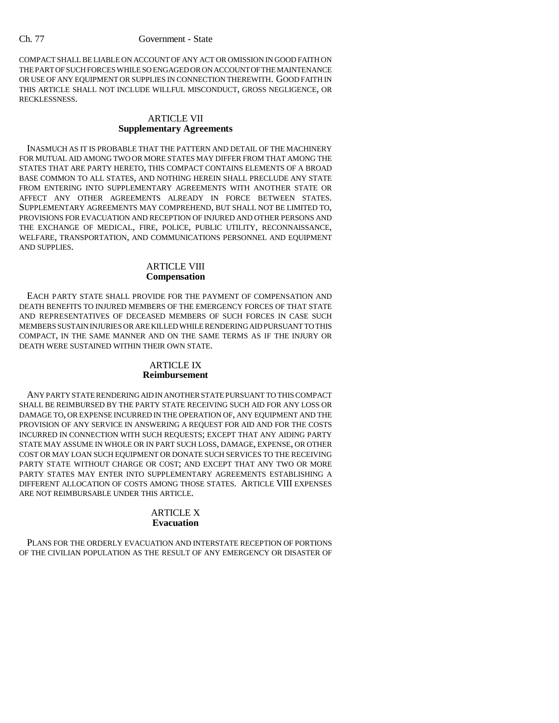COMPACT SHALL BE LIABLE ON ACCOUNT OF ANY ACT OR OMISSION IN GOOD FAITH ON THE PART OF SUCH FORCES WHILE SO ENGAGED OR ON ACCOUNT OF THE MAINTENANCE OR USE OF ANY EQUIPMENT OR SUPPLIES IN CONNECTION THEREWITH. GOOD FAITH IN THIS ARTICLE SHALL NOT INCLUDE WILLFUL MISCONDUCT, GROSS NEGLIGENCE, OR RECKLESSNESS.

#### ARTICLE VII **Supplementary Agreements**

INASMUCH AS IT IS PROBABLE THAT THE PATTERN AND DETAIL OF THE MACHINERY FOR MUTUAL AID AMONG TWO OR MORE STATES MAY DIFFER FROM THAT AMONG THE STATES THAT ARE PARTY HERETO, THIS COMPACT CONTAINS ELEMENTS OF A BROAD BASE COMMON TO ALL STATES, AND NOTHING HEREIN SHALL PRECLUDE ANY STATE FROM ENTERING INTO SUPPLEMENTARY AGREEMENTS WITH ANOTHER STATE OR AFFECT ANY OTHER AGREEMENTS ALREADY IN FORCE BETWEEN STATES. SUPPLEMENTARY AGREEMENTS MAY COMPREHEND, BUT SHALL NOT BE LIMITED TO, PROVISIONS FOR EVACUATION AND RECEPTION OF INJURED AND OTHER PERSONS AND THE EXCHANGE OF MEDICAL, FIRE, POLICE, PUBLIC UTILITY, RECONNAISSANCE, WELFARE, TRANSPORTATION, AND COMMUNICATIONS PERSONNEL AND EQUIPMENT AND SUPPLIES.

# ARTICLE VIII **Compensation**

EACH PARTY STATE SHALL PROVIDE FOR THE PAYMENT OF COMPENSATION AND DEATH BENEFITS TO INJURED MEMBERS OF THE EMERGENCY FORCES OF THAT STATE AND REPRESENTATIVES OF DECEASED MEMBERS OF SUCH FORCES IN CASE SUCH MEMBERS SUSTAIN INJURIES OR ARE KILLED WHILE RENDERING AID PURSUANT TO THIS COMPACT, IN THE SAME MANNER AND ON THE SAME TERMS AS IF THE INJURY OR DEATH WERE SUSTAINED WITHIN THEIR OWN STATE.

# ARTICLE IX **Reimbursement**

ANY PARTY STATE RENDERING AID IN ANOTHER STATE PURSUANT TO THIS COMPACT SHALL BE REIMBURSED BY THE PARTY STATE RECEIVING SUCH AID FOR ANY LOSS OR DAMAGE TO, OR EXPENSE INCURRED IN THE OPERATION OF, ANY EQUIPMENT AND THE PROVISION OF ANY SERVICE IN ANSWERING A REQUEST FOR AID AND FOR THE COSTS INCURRED IN CONNECTION WITH SUCH REQUESTS; EXCEPT THAT ANY AIDING PARTY STATE MAY ASSUME IN WHOLE OR IN PART SUCH LOSS, DAMAGE, EXPENSE, OR OTHER COST OR MAY LOAN SUCH EQUIPMENT OR DONATE SUCH SERVICES TO THE RECEIVING PARTY STATE WITHOUT CHARGE OR COST; AND EXCEPT THAT ANY TWO OR MORE PARTY STATES MAY ENTER INTO SUPPLEMENTARY AGREEMENTS ESTABLISHING A DIFFERENT ALLOCATION OF COSTS AMONG THOSE STATES. ARTICLE VIII EXPENSES ARE NOT REIMBURSABLE UNDER THIS ARTICLE.

## ARTICLE X **Evacuation**

PLANS FOR THE ORDERLY EVACUATION AND INTERSTATE RECEPTION OF PORTIONS OF THE CIVILIAN POPULATION AS THE RESULT OF ANY EMERGENCY OR DISASTER OF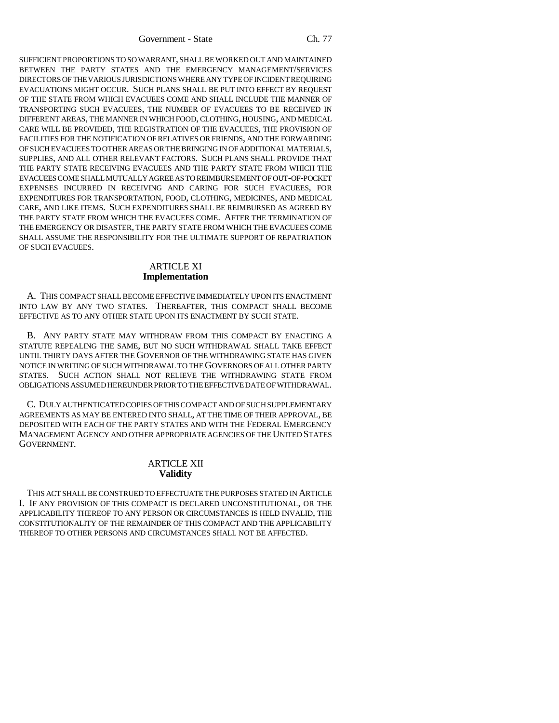Government - State Ch. 77

SUFFICIENT PROPORTIONS TO SO WARRANT, SHALL BE WORKED OUT AND MAINTAINED BETWEEN THE PARTY STATES AND THE EMERGENCY MANAGEMENT/SERVICES DIRECTORS OF THE VARIOUS JURISDICTIONS WHERE ANY TYPE OF INCIDENT REQUIRING EVACUATIONS MIGHT OCCUR. SUCH PLANS SHALL BE PUT INTO EFFECT BY REQUEST OF THE STATE FROM WHICH EVACUEES COME AND SHALL INCLUDE THE MANNER OF TRANSPORTING SUCH EVACUEES, THE NUMBER OF EVACUEES TO BE RECEIVED IN DIFFERENT AREAS, THE MANNER IN WHICH FOOD, CLOTHING, HOUSING, AND MEDICAL CARE WILL BE PROVIDED, THE REGISTRATION OF THE EVACUEES, THE PROVISION OF FACILITIES FOR THE NOTIFICATION OF RELATIVES OR FRIENDS, AND THE FORWARDING OF SUCH EVACUEES TO OTHER AREAS OR THE BRINGING IN OF ADDITIONAL MATERIALS, SUPPLIES, AND ALL OTHER RELEVANT FACTORS. SUCH PLANS SHALL PROVIDE THAT THE PARTY STATE RECEIVING EVACUEES AND THE PARTY STATE FROM WHICH THE EVACUEES COME SHALL MUTUALLY AGREE AS TO REIMBURSEMENT OF OUT-OF-POCKET EXPENSES INCURRED IN RECEIVING AND CARING FOR SUCH EVACUEES, FOR EXPENDITURES FOR TRANSPORTATION, FOOD, CLOTHING, MEDICINES, AND MEDICAL CARE, AND LIKE ITEMS. SUCH EXPENDITURES SHALL BE REIMBURSED AS AGREED BY THE PARTY STATE FROM WHICH THE EVACUEES COME. AFTER THE TERMINATION OF THE EMERGENCY OR DISASTER, THE PARTY STATE FROM WHICH THE EVACUEES COME SHALL ASSUME THE RESPONSIBILITY FOR THE ULTIMATE SUPPORT OF REPATRIATION OF SUCH EVACUEES.

# ARTICLE XI **Implementation**

A. THIS COMPACT SHALL BECOME EFFECTIVE IMMEDIATELY UPON ITS ENACTMENT INTO LAW BY ANY TWO STATES. THEREAFTER, THIS COMPACT SHALL BECOME EFFECTIVE AS TO ANY OTHER STATE UPON ITS ENACTMENT BY SUCH STATE.

B. ANY PARTY STATE MAY WITHDRAW FROM THIS COMPACT BY ENACTING A STATUTE REPEALING THE SAME, BUT NO SUCH WITHDRAWAL SHALL TAKE EFFECT UNTIL THIRTY DAYS AFTER THE GOVERNOR OF THE WITHDRAWING STATE HAS GIVEN NOTICE IN WRITING OF SUCH WITHDRAWAL TO THE GOVERNORS OF ALL OTHER PARTY STATES. SUCH ACTION SHALL NOT RELIEVE THE WITHDRAWING STATE FROM OBLIGATIONS ASSUMED HEREUNDER PRIOR TO THE EFFECTIVE DATE OF WITHDRAWAL.

C. DULY AUTHENTICATED COPIES OF THIS COMPACT AND OF SUCH SUPPLEMENTARY AGREEMENTS AS MAY BE ENTERED INTO SHALL, AT THE TIME OF THEIR APPROVAL, BE DEPOSITED WITH EACH OF THE PARTY STATES AND WITH THE FEDERAL EMERGENCY MANAGEMENT AGENCY AND OTHER APPROPRIATE AGENCIES OF THE UNITED STATES GOVERNMENT.

#### ARTICLE XII **Validity**

THIS ACT SHALL BE CONSTRUED TO EFFECTUATE THE PURPOSES STATED IN ARTICLE I. IF ANY PROVISION OF THIS COMPACT IS DECLARED UNCONSTITUTIONAL, OR THE APPLICABILITY THEREOF TO ANY PERSON OR CIRCUMSTANCES IS HELD INVALID, THE CONSTITUTIONALITY OF THE REMAINDER OF THIS COMPACT AND THE APPLICABILITY THEREOF TO OTHER PERSONS AND CIRCUMSTANCES SHALL NOT BE AFFECTED.